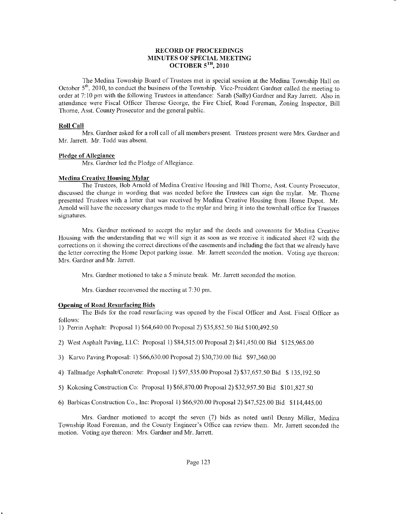## RECORD OF PROCEEDTNGS MINUTES OF SPECIAL MEETING OCTOBER  $5^{TH}$ , 2010

The Medina Township Board of Trustees met in special session at the Medina Township Hall on October  $5<sup>th</sup>$ , 2010, to conduct the business of the Township. Vice-President Gardner called the meeting to order at 7:10 pm with the following Trustees in attendance: Sarah (Sally) Gardner and Ray Jarrett. Also in attendance were Fiscal Officer Therese George, the Fire Chief, Road Foreman, Zoning Inspector, Bill Thorne, Asst. County Prosecutor and the general public.

## Roll Call

Mrs. Gardner asked for a roll call of all members present. Trustees present were Mrs. Gardner and Mr. Jarrett. Mr. Todd was absent.

## Pledge of Allegiance

Mrs. Gardner led the Pledge of Allegiance.

## Medina Creative Housing Mylar

The Trustees, Bob Arnold of Medina Creative Housing and Bill Thomc, Asst. County Prosecutor, discussed the change in wording that was needed before the Trustees can sign the mylar. Mr. Thorne presented Trustees with a letter that was received by Medina Creative Housing from Home Depot. Mr. Arnold will have the necessary changes made to the mylar and bring it into the townhall office for Trustees signatures.

Mrs. Gardner motioned to accept thc mylar and the deeds and covenants for Medina Creative Housing with the understanding that we will sign it as soon as we receive it indicated sheet  $#2$  with the corrections on it showing the correct directions of the easements and including the fact that we already have the letter correcting the Honre Depot parking issue. Mr. Jarrett seconded the motion. Voting aye thereon: Mrs. Gardner and Mr. Jarrett.

Mrs. Gardner motioned to take a 5 minute break. Mr. Jarrett seconded the motion.

Mrs. Gardner reconvened the meeting at 7:30 pm.

# Opening of Road Resurfacinq Bids

The Bids for the road resurfacing was opened by the Fiscal Officer and Asst. Fiscal Officer as follows:

- 1) Penin Asphalt: Proposal) \$64,640.00 Proposal2) \$35,852.50 Bid \$100,492.50
- 2) West Asphalt Paving, LLC; Proposal 1) \$84,515.00 Proposal2) \$41,450.00 Bid \$125,965.00
- 3) Karvo Paving Proposal: l) \$66,630.00 Proposal2) \$30,730.00 Bid \$97,360.00
- 4) Tallmadge Asphalt/Concrete: Proposal 1) \$97,535.00 Proposal 2) \$37,657.50 Bid \$ 135,192.50
- 5) Kokosing Construction Co: Proposal I ) \$68,870.00 Proposal 2) 532,957 .50 Bid \$ 101,827.50
- 6) Barbicas Construction Co., Inc: Proposal 1) \$66,920.00 Proposal 2) \$47,525.00 Bid \$ I 14,445.00

Mrs. Gardner motioned to accept the seven (7) bids as noted until Denny Miller, Medina Township Road Foreman, and the County Engineer's Office can review them. Mr. Jarrett seconded the motion. Voting aye thereon: Mrs. Gardner and Mr. Jarrett.